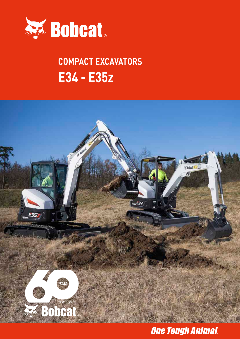

## **COMPACT EXCAVATORS E34 - E35z**



## **One Tough Animal.**